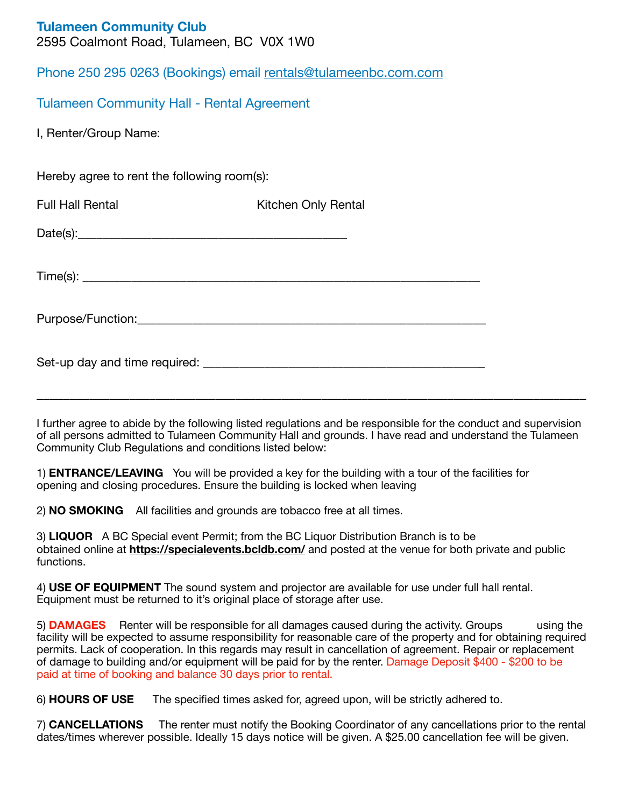|  | <b>Tulameen Community Club</b> |  |
|--|--------------------------------|--|
|--|--------------------------------|--|

2595 Coalmont Road, Tulameen, BC V0X 1W0

Phone 250 295 0263 (Bookings) email [rentals@tulameenbc.com.com](mailto:rentals@tulameenbc.com)

Tulameen Community Hall - Rental Agreement

I, Renter/Group Name:

Hereby agree to rent the following room(s):

Full Hall Rental **The Contract Contract Conducts** Kitchen Only Rental

 $Date(s):$ 

 $Time(s):$ 

Purpose/Function:

Set-up day and time required: \_\_\_\_\_\_\_\_\_\_\_\_\_\_\_\_\_\_\_\_\_\_\_\_\_\_\_\_\_\_\_\_\_\_\_\_\_\_\_\_\_\_\_\_\_\_

I further agree to abide by the following listed regulations and be responsible for the conduct and supervision of all persons admitted to Tulameen Community Hall and grounds. I have read and understand the Tulameen Community Club Regulations and conditions listed below:

**\_\_\_\_\_\_\_\_\_\_\_\_\_\_\_\_\_\_\_\_\_\_\_\_\_\_\_\_\_\_\_\_\_\_\_\_\_\_\_\_\_\_\_\_\_\_\_\_\_\_\_\_\_\_\_\_\_\_\_\_\_\_\_\_\_\_\_\_\_\_\_\_\_\_\_\_\_\_\_\_\_\_\_** 

1) **ENTRANCE/LEAVING** You will be provided a key for the building with a tour of the facilities for opening and closing procedures. Ensure the building is locked when leaving

2) **NO SMOKING** All facilities and grounds are tobacco free at all times.

3) **LIQUOR** A BC Special event Permit; from the BC Liquor Distribution Branch is to be obtained online at **<https://specialevents.bcldb.com/>** and posted at the venue for both private and public functions.

4) **USE OF EQUIPMENT** The sound system and projector are available for use under full hall rental. Equipment must be returned to it's original place of storage after use.

5) **DAMAGES** Renter will be responsible for all damages caused during the activity. Groups using the facility will be expected to assume responsibility for reasonable care of the property and for obtaining required permits. Lack of cooperation. In this regards may result in cancellation of agreement. Repair or replacement of damage to building and/or equipment will be paid for by the renter. Damage Deposit \$400 - \$200 to be paid at time of booking and balance 30 days prior to rental.

6) **HOURS OF USE** The specified times asked for, agreed upon, will be strictly adhered to.

7) **CANCELLATIONS** The renter must notify the Booking Coordinator of any cancellations prior to the rental dates/times wherever possible. Ideally 15 days notice will be given. A \$25.00 cancellation fee will be given.